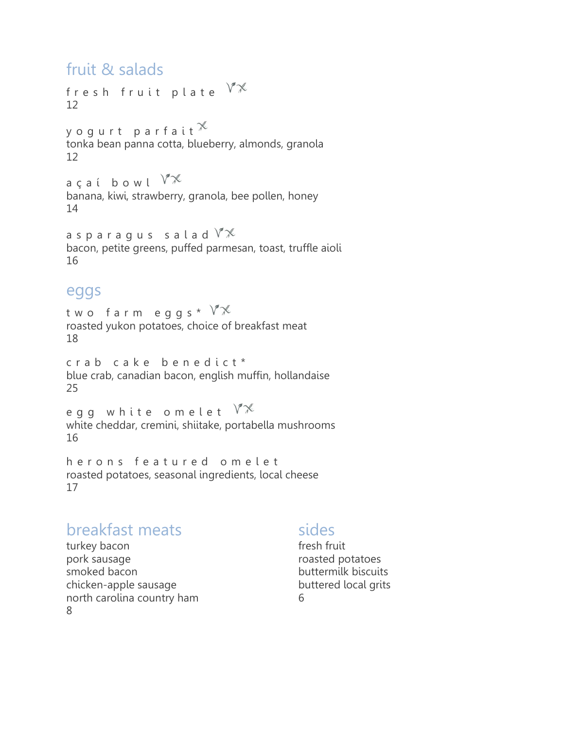### fruit & salads

fresh fruit plate  $\mathbb{Y}\mathbb{X}$ 12

y o g u r t p a r f a i t  $\mathbb X$ tonka bean panna cotta, blueberry, almonds, granola 12

açaí bowl $\sqrt[N]{\mathbb{X}}$ banana, kiwi, strawberry, granola, bee pollen, honey 14

a sparagus salad  $\sqrt[n]{x}$ bacon, petite greens, puffed parmesan, toast, truffle aioli 16

### eggs

two farm eggs\* $\mathbb{V}\mathbb{X}$ roasted yukon potatoes, choice of breakfast meat 18

crab cake benedict\* blue crab, canadian bacon, english muffin, hollandaise 25

egg white omelet  $\mathbb{V}^{\mathcal{K}}$ white cheddar, cremini, shiitake, portabella mushrooms 16

h e r o n s featured o m e l e t roasted potatoes, seasonal ingredients, local cheese 17

# breakfast meats

sides

turkey bacon pork sausage smoked bacon chicken-apple sausage north carolina country ham 8

fresh fruit roasted potatoes buttermilk biscuits buttered local grits 6